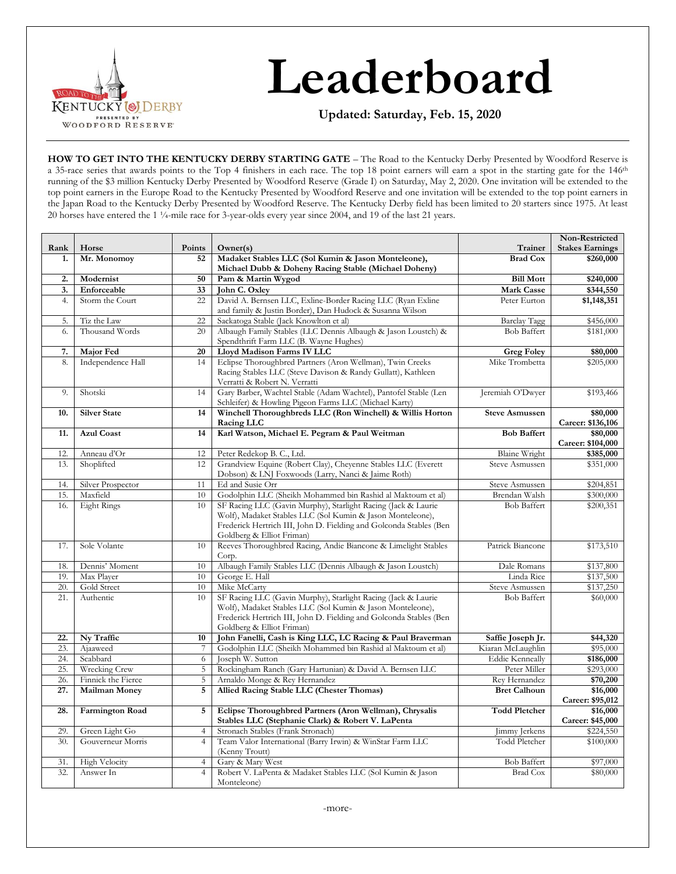

# **Leaderboard**

**Updated: Saturday, Feb. 15, 2020**

**HOW TO GET INTO THE KENTUCKY DERBY STARTING GATE** – The Road to the Kentucky Derby Presented by Woodford Reserve is a 35-race series that awards points to the Top 4 finishers in each race. The top 18 point earners will earn a spot in the starting gate for the 146<sup>th</sup> running of the \$3 million Kentucky Derby Presented by Woodford Reserve (Grade I) on Saturday, May 2, 2020. One invitation will be extended to the top point earners in the Europe Road to the Kentucky Presented by Woodford Reserve and one invitation will be extended to the top point earners in the Japan Road to the Kentucky Derby Presented by Woodford Reserve. The Kentucky Derby field has been limited to 20 starters since 1975. At least 20 horses have entered the 1 ¼-mile race for 3-year-olds every year since 2004, and 19 of the last 21 years.

|            |                        |                  |                                                                                               |                                             | Non-Restricted         |
|------------|------------------------|------------------|-----------------------------------------------------------------------------------------------|---------------------------------------------|------------------------|
| Rank       | Horse                  | Points           | Owner(s)                                                                                      | Trainer                                     | <b>Stakes Earnings</b> |
| 1.         | Mr. Monomoy            | 52               | Madaket Stables LLC (Sol Kumin & Jason Monteleone),                                           | <b>Brad Cox</b>                             | \$260,000              |
|            |                        |                  | Michael Dubb & Doheny Racing Stable (Michael Doheny)                                          |                                             |                        |
| 2.         | Modernist              | 50               | Pam & Martin Wygod                                                                            | <b>Bill Mott</b>                            | \$240,000              |
| 3.         | Enforceable            | 33               | John C. Oxley                                                                                 | <b>Mark Casse</b>                           | \$344,550              |
| 4.         | Storm the Court        | 22               | David A. Bernsen LLC, Exline-Border Racing LLC (Ryan Exline                                   | Peter Eurton                                | \$1,148,351            |
|            |                        |                  | and family & Justin Border), Dan Hudock & Susanna Wilson                                      |                                             |                        |
| 5.         | Tiz the Law            | 22               | Sackatoga Stable (Jack Knowlton et al)                                                        | <b>Barclay Tagg</b>                         | \$456,000              |
| 6.         | Thousand Words         | 20               | Albaugh Family Stables (LLC Dennis Albaugh & Jason Loustch) &                                 | <b>Bob Baffert</b>                          | \$181,000              |
|            |                        |                  | Spendthrift Farm LLC (B. Wayne Hughes)                                                        |                                             |                        |
| 7.         | Major Fed              | 20               | Lloyd Madison Farms IV LLC<br><b>Greg Foley</b>                                               |                                             | \$80,000               |
| 8.         | Independence Hall      | 14               | Eclipse Thoroughbred Partners (Aron Wellman), Twin Creeks                                     | Mike Trombetta                              | \$205,000              |
|            |                        |                  | Racing Stables LLC (Steve Davison & Randy Gullatt), Kathleen<br>Verratti & Robert N. Verratti |                                             |                        |
| 9.         | Shotski                | 14               | Gary Barber, Wachtel Stable (Adam Wachtel), Pantofel Stable (Len                              | Jeremiah O'Dwyer                            | \$193,466              |
|            |                        |                  | Schleifer) & Howling Pigeon Farms LLC (Michael Karty)                                         |                                             |                        |
| 10.        | <b>Silver State</b>    | 14               | Winchell Thoroughbreds LLC (Ron Winchell) & Willis Horton                                     | <b>Steve Asmussen</b>                       | \$80,000               |
|            |                        |                  | Racing LLC                                                                                    |                                             | Career: \$136,106      |
| 11.        | <b>Azul Coast</b>      | 14               | Karl Watson, Michael E. Pegram & Paul Weitman                                                 | <b>Bob Baffert</b>                          | \$80,000               |
|            |                        |                  |                                                                                               |                                             | Career: \$104,000      |
| 12.        | Anneau d'Or            | 12               | Peter Redekop B. C., Ltd.                                                                     | <b>Blaine Wright</b>                        | \$385,000              |
| 13.        | Shoplifted             | 12               | Grandview Equine (Robert Clay), Cheyenne Stables LLC (Everett                                 | Steve Asmussen                              | \$351,000              |
|            |                        |                  | Dobson) & LNJ Foxwoods (Larry, Nanci & Jaime Roth)                                            |                                             |                        |
| 14.        | Silver Prospector      | 11               | Ed and Susie Orr                                                                              | Steve Asmussen                              | \$204,851              |
| 15.        | Maxfield               | 10               | Godolphin LLC (Sheikh Mohammed bin Rashid al Maktoum et al)                                   | Brendan Walsh                               | \$300,000              |
| 16.        | <b>Eight Rings</b>     | 10               | SF Racing LLC (Gavin Murphy), Starlight Racing (Jack & Laurie                                 | <b>Bob Baffert</b>                          | \$200,351              |
|            |                        |                  | Wolf), Madaket Stables LLC (Sol Kumin & Jason Monteleone),                                    |                                             |                        |
|            |                        |                  | Frederick Hertrich III, John D. Fielding and Golconda Stables (Ben                            |                                             |                        |
|            |                        |                  | Goldberg & Elliot Friman)                                                                     |                                             |                        |
| 17.        | Sole Volante           | 10               | Reeves Thoroughbred Racing, Andie Biancone & Limelight Stables                                | Patrick Biancone                            | \$173,510              |
|            |                        |                  | Corp.                                                                                         |                                             |                        |
| 18.        | Dennis' Moment         | 10               | Albaugh Family Stables LLC (Dennis Albaugh & Jason Loustch)                                   | Dale Romans                                 | \$137,800              |
| 19.        | Max Player             | 10               | George E. Hall                                                                                | Linda Rice                                  | \$137,500              |
| 20.        | Gold Street            | 10               | Mike McCarty                                                                                  | Steve Asmussen                              | \$137,250              |
| 21.        | Authentic              | 10               | SF Racing LLC (Gavin Murphy), Starlight Racing (Jack & Laurie                                 | <b>Bob Baffert</b>                          | \$60,000               |
|            |                        |                  | Wolf), Madaket Stables LLC (Sol Kumin & Jason Monteleone),                                    |                                             |                        |
|            |                        |                  | Frederick Hertrich III, John D. Fielding and Golconda Stables (Ben                            |                                             |                        |
| 22.        |                        | 10               | Goldberg & Elliot Friman)                                                                     |                                             |                        |
|            | Ny Traffic             |                  | John Fanelli, Cash is King LLC, LC Racing & Paul Braverman                                    | Saffie Joseph Jr.                           | \$44,320               |
| 23.<br>24. | Ajaaweed<br>Scabbard   | $\boldsymbol{7}$ | Godolphin LLC (Sheikh Mohammed bin Rashid al Maktoum et al)                                   | Kiaran McLaughlin<br><b>Eddie Kenneally</b> | \$95,000               |
| 25.        | <b>Wrecking Crew</b>   | 6<br>5           | Joseph W. Sutton<br>Rockingham Ranch (Gary Hartunian) & David A. Bernsen LLC                  | Peter Miller                                | \$186,000<br>\$293,000 |
| 26.        | Finnick the Fierce     | 5                | Arnaldo Monge & Rey Hernandez                                                                 | Rey Hernandez                               | \$70,200               |
| 27.        | <b>Mailman Money</b>   | 5                | Allied Racing Stable LLC (Chester Thomas)                                                     | <b>Bret Calhoun</b>                         | \$16,000               |
|            |                        |                  |                                                                                               |                                             | Career: \$95,012       |
| 28.        | <b>Farmington Road</b> | 5                | Eclipse Thoroughbred Partners (Aron Wellman), Chrysalis                                       | <b>Todd Pletcher</b>                        | \$16,000               |
|            |                        |                  | Stables LLC (Stephanie Clark) & Robert V. LaPenta                                             |                                             | Career: \$45,000       |
| 29.        | Green Light Go         | $\overline{4}$   | Stronach Stables (Frank Stronach)                                                             | Jimmy Jerkens                               | \$224,550              |
| 30.        | Gouverneur Morris      | $\overline{4}$   | Team Valor International (Barry Irwin) & WinStar Farm LLC                                     | Todd Pletcher                               | \$100,000              |
|            |                        |                  | (Kenny Troutt)                                                                                |                                             |                        |
| 31.        | <b>High Velocity</b>   | $\overline{4}$   | Gary & Mary West                                                                              | <b>Bob Baffert</b>                          | \$97,000               |
| 32.        | Answer In              | $\overline{4}$   | Robert V. LaPenta & Madaket Stables LLC (Sol Kumin & Jason                                    | <b>Brad Cox</b>                             | \$80,000               |
|            |                        |                  | Monteleone)                                                                                   |                                             |                        |
|            |                        |                  |                                                                                               |                                             |                        |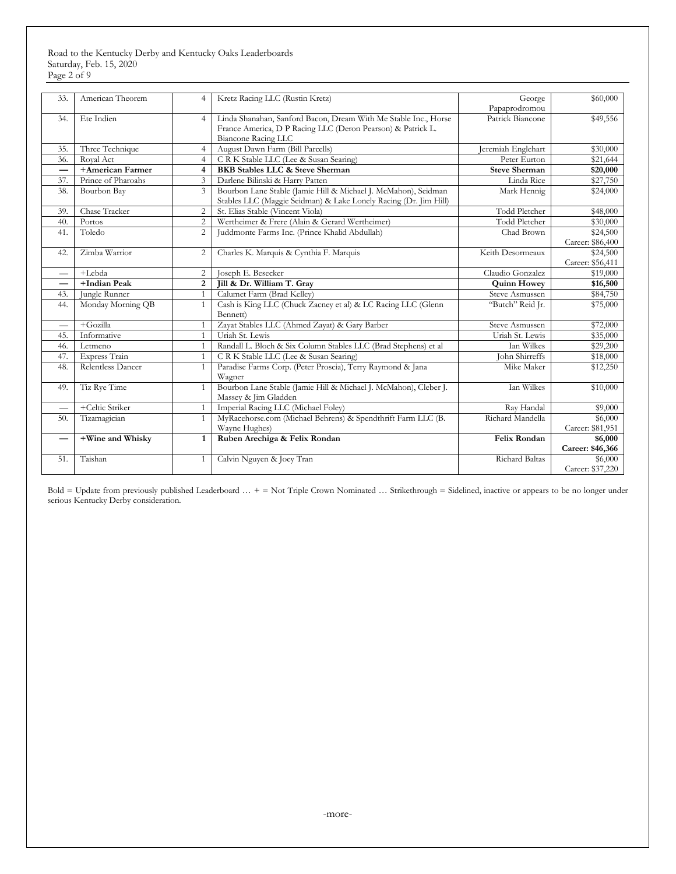Road to the Kentucky Derby and Kentucky Oaks Leaderboards Saturday, Feb. 15, 2020 Page 2 of 9

| 33. | American Theorem   | $\overline{4}$ | Kretz Racing LLC (Rustin Kretz)                                  | George                | \$60,000         |
|-----|--------------------|----------------|------------------------------------------------------------------|-----------------------|------------------|
|     |                    |                |                                                                  | Papaprodromou         |                  |
| 34. | Ete Indien         | $\overline{4}$ | Linda Shanahan, Sanford Bacon, Dream With Me Stable Inc., Horse  | Patrick Biancone      | \$49,556         |
|     |                    |                | France America, D P Racing LLC (Deron Pearson) & Patrick L.      |                       |                  |
|     |                    |                | Biancone Racing LLC                                              |                       |                  |
| 35. | Three Technique    | $\overline{4}$ | August Dawn Farm (Bill Parcells)                                 | Jeremiah Englehart    | \$30,000         |
| 36. | Royal Act          | $\overline{4}$ | C R K Stable LLC (Lee & Susan Searing)                           | Peter Eurton          | \$21,644         |
|     | +American Farmer   | $\overline{4}$ | <b>BKB Stables LLC &amp; Steve Sherman</b>                       | <b>Steve Sherman</b>  | \$20,000         |
| 37. | Prince of Pharoahs | $\overline{3}$ | Darlene Bilinski & Harry Patten                                  | Linda Rice            | \$27,750         |
| 38. | Bourbon Bay        | $\overline{3}$ | Bourbon Lane Stable (Jamie Hill & Michael J. McMahon), Seidman   | Mark Hennig           | \$24,000         |
|     |                    |                | Stables LLC (Maggie Seidman) & Lake Lonely Racing (Dr. Jim Hill) |                       |                  |
| 39. | Chase Tracker      | $\overline{2}$ | St. Elias Stable (Vincent Viola)                                 | <b>Todd Pletcher</b>  | \$48,000         |
| 40. | Portos             | $\overline{2}$ | Wertheimer & Frere (Alain & Gerard Wertheimer)                   | <b>Todd Pletcher</b>  | \$30,000         |
| 41. | Toledo             | $\overline{2}$ | Juddmonte Farms Inc. (Prince Khalid Abdullah)                    | Chad Brown            | \$24,500         |
|     |                    |                |                                                                  |                       | Career: \$86,400 |
| 42. | Zimba Warrior      | $\overline{c}$ | Charles K. Marquis & Cynthia F. Marquis                          | Keith Desormeaux      | \$24,500         |
|     |                    |                |                                                                  |                       | Career: \$56,411 |
|     | +Lebda             | $\overline{2}$ | Claudio Gonzalez<br>Joseph E. Besecker                           |                       | \$19,000         |
|     | +Indian Peak       | $\overline{2}$ | Jill & Dr. William T. Gray                                       | <b>Quinn Howey</b>    | \$16,500         |
| 43. | Jungle Runner      | $\mathbf{1}$   | Calumet Farm (Brad Kelley)                                       | Steve Asmussen        | \$84,750         |
| 44. | Monday Morning QB  | $\mathbf{1}$   | Cash is King LLC (Chuck Zacney et al) & LC Racing LLC (Glenn     | "Butch" Reid Jr.      | \$75,000         |
|     |                    |                | Bennett)                                                         |                       |                  |
|     | $+$ Gozilla        | $\mathbf{1}$   | Zayat Stables LLC (Ahmed Zayat) & Gary Barber                    | Steve Asmussen        | \$72,000         |
| 45. | Informative        | $\mathbf{1}$   | Uriah St. Lewis                                                  | Uriah St. Lewis       | \$35,000         |
| 46. | Letmeno            |                | Randall L. Bloch & Six Column Stables LLC (Brad Stephens) et al  | Ian Wilkes            | \$29,200         |
| 47. | Express Train      | $\mathbf{1}$   | C R K Stable LLC (Lee & Susan Searing)                           | <b>John Shirreffs</b> | \$18,000         |
| 48. | Relentless Dancer  | $\mathbf{1}$   | Paradise Farms Corp. (Peter Proscia), Terry Raymond & Jana       | Mike Maker            | \$12,250         |
|     |                    |                | Wagner                                                           |                       |                  |
| 49. | Tiz Rye Time       | $\mathbf{1}$   | Bourbon Lane Stable (Jamie Hill & Michael J. McMahon), Cleber J. | Ian Wilkes            | \$10,000         |
|     |                    |                | Massey & Jim Gladden                                             |                       |                  |
|     | +Celtic Striker    | 1              | Imperial Racing LLC (Michael Foley)                              | Ray Handal            | \$9,000          |
| 50. | Tizamagician       | $\mathbf{1}$   | MyRacehorse.com (Michael Behrens) & Spendthrift Farm LLC (B.     | Richard Mandella      | \$6,000          |
|     |                    |                | Wayne Hughes)                                                    |                       | Career: \$81,951 |
| -   | +Wine and Whisky   | $\mathbf{1}$   | Ruben Arechiga & Felix Rondan                                    | <b>Felix Rondan</b>   | \$6,000          |
|     |                    |                |                                                                  |                       | Career: \$46,366 |
| 51. | Taishan            | $\mathbf{1}$   | Calvin Nguyen & Joey Tran                                        | <b>Richard Baltas</b> | \$6,000          |
|     |                    |                |                                                                  |                       | Career: \$37,220 |

Bold = Update from previously published Leaderboard … + = Not Triple Crown Nominated … Strikethrough = Sidelined, inactive or appears to be no longer under serious Kentucky Derby consideration.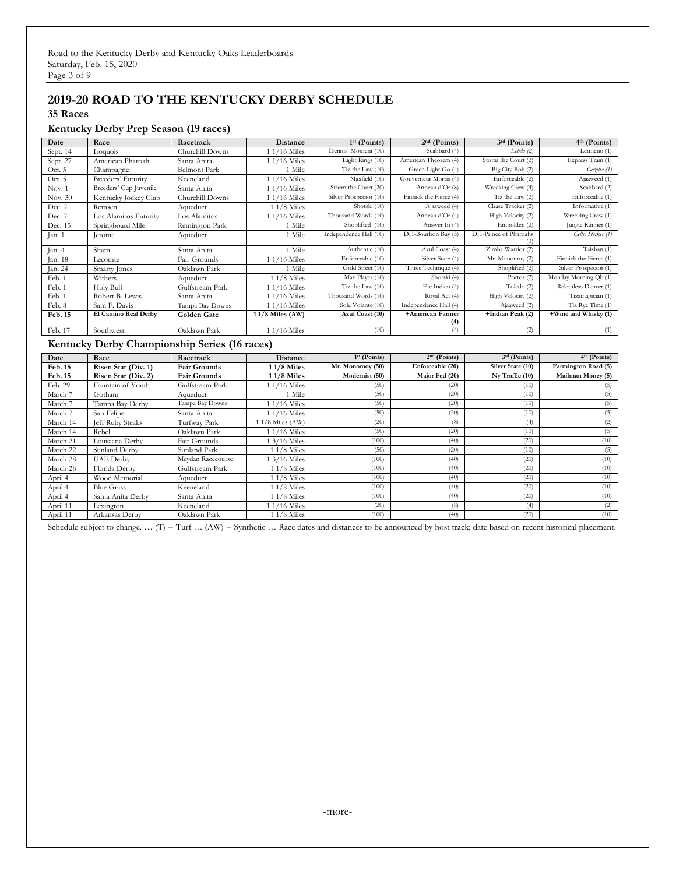## **2019-20 ROAD TO THE KENTUCKY DERBY SCHEDULE**

**35 Races**

#### **Kentucky Derby Prep Season (19 races)**

| Date     | Race                   | Racetrack           | <b>Distance</b> | $1st$ (Points)         | $2nd$ (Points)         | $3rd$ (Points)        | 4th (Points)           |
|----------|------------------------|---------------------|-----------------|------------------------|------------------------|-----------------------|------------------------|
| Sept. 14 | Iroquois               | Churchill Downs     | $11/16$ Miles   | Dennis' Moment (10)    | Scabbard (4)           | Lebda(2)              | Letmeno $(1)$          |
| Sept. 27 | American Pharoah       | Santa Anita         | 1 1/16 Miles    | Eight Rings (10)       | American Theorem (4)   | Storm the Court (2)   | Express Train (1)      |
| Oct. 5   | Champagne              | <b>Belmont Park</b> | 1 Mile          | Tiz the Law (10)       | Green Light Go (4)     | Big City Bob (2)      | Gozilla (1)            |
| Oct. 5   | Breeders' Futurity     | Keeneland           | 1 1/16 Miles    | Maxfield (10)          | Gouverneur Morris (4)  | Enforceable (2)       | Ajaaweed (1)           |
| Nov. 1   | Breeders' Cup Juvenile | Santa Anita         | 1 1/16 Miles    | Storm the Court (20)   | Anneau d'Or (8)        | Wrecking Crew (4)     | Scabbard (2)           |
| Nov. 30  | Kentucky Jockey Club   | Churchill Downs     | 1 1/16 Miles    | Silver Prospector (10) | Finnick the Fierce (4) | Tiz the Law $(2)$     | Enforceable (1)        |
| Dec. 7   | Remsen                 | Aqueduct            | $11/8$ Miles    | Shotski (10)           | Ajaaweed (4)           | Chase Tracker (2)     | Informative (1)        |
| Dec. 7   | Los Alamitos Futurity  | Los Alamitos        | $11/16$ Miles   | Thousand Words (10)    | Anneau d'Or (4)        | High Velocity (2)     | Wrecking Crew (1)      |
| Dec. 15  | Springboard Mile       | Remington Park      | 1 Mile          | Shoplifted (10)        | Answer In (4)          | Embolden (2)          | Jungle Runner (1)      |
| Jan. 1   | erome                  | Aqueduct            | 1 Mile          | Independence Hall (10) | DH-Bourbon Bay (3)     | DH-Prince of Pharoahs | Celtic Striker (1)     |
| Jan. 4   | Sham                   | Santa Anita         | 1 Mile          | Authentic (10)         | Azul Coast (4)         | Zimba Warrior (2)     | Taishan(1)             |
| Jan. 18  | Lecomte                | Fair Grounds        | $11/16$ Miles   | Enforceable (10)       | Silver State (4)       | Mr. Monomoy (2)       | Finnick the Fierce (1) |
| Jan. 24  | Smarty Jones           | Oaklawn Park        | 1 Mile          | Gold Street (10)       | Three Technique (4)    | Shoplifted (2)        | Silver Prospector (1)  |
| Feb. 1   | Withers                | Aqueduct            | $11/8$ Miles    | Max Player (10)        | Shotski (4)            | Portos $(2)$          | Monday Morning Qb (1)  |
| Feb. 1   | Holy Bull              | Gulfstream Park     | 1 1/16 Miles    | Tiz the Law $(10)$     | Ete Indien (4)         | Toledo $(2)$          | Relentless Dancer (1)  |
| Feb. 1   | Robert B. Lewis        | Santa Anita         | 1 1/16 Miles    | Thousand Words (10)    | Royal Act (4)          | High Velocity (2)     | Tizamagician (1)       |
| Feb. 8   | Sam F. Davis           | Tampa Bay Downs     | 1 1/16 Miles    | Sole Volante (10)      | Independence Hall (4)  | Ajaaweed (2)          | Tiz Rye Time (1)       |
| Feb. 15  | El Camino Real Derby   | Golden Gate         | 11/8 Miles (AW) | Azul Coast (10)        | +American Farmer       | +Indian Peak (2)      | +Wine and Whisky (1)   |
|          |                        |                     |                 |                        | (4)                    |                       |                        |
| Feb. 17  | Southwest              | Oaklawn Park        | $11/16$ Miles   | (10)                   | (4)                    | (2)                   | (1)                    |

#### **Kentucky Derby Championship Series (16 races)**

| Date     | Race                    | Racetrack           | Distance         | $1st$ (Points)   | $2nd$ (Points)   | $3rd$ (Points)    | $4th$ (Points)      |
|----------|-------------------------|---------------------|------------------|------------------|------------------|-------------------|---------------------|
| Feb. 15  | Risen Star (Div. 1)     | <b>Fair Grounds</b> | 11/8 Miles       | Mr. Monomoy (50) | Enforceable (20) | Silver State (10) | Farmington Road (5) |
| Feb. 15  | Risen Star (Div. 2)     | <b>Fair Grounds</b> | $11/8$ Miles     | Modernist (50)   | Major Fed (20)   | Ny Traffic (10)   | Mailman Money (5)   |
| Feb. 29  | Fountain of Youth       | Gulfstream Park     | 1 1/16 Miles     | (50)             | (20)             | (10)              |                     |
| March 7  | Gotham                  | Aqueduct            | 1 Mile           | (50)             | (20)             | (10)              | (5)                 |
| March 7  | Tampa Bay Derby         | Tampa Bay Downs     | 1 1/16 Miles     | (50)             | (20)             | (10)              | (5)                 |
| March 7  | San Felipe              | Santa Anita         | $1/16$ Miles     | (50)             | (20)             | (10)              | (5)                 |
| March 14 | <b>Jeff Ruby Steaks</b> | Turfway Park        | $1/8$ Miles (AW) | (20)             | (8)              | (4)               | (2)                 |
| March 14 | Rebel                   | Oaklawn Park        | 1 1/16 Miles     | (50)             | (20)             | (10)              | (5)                 |
| March 21 | Louisiana Derby         | Fair Grounds        | 1 3/16 Miles     | (100)            | (40)             | (20)              | (10)                |
| March 22 | Sunland Derby           | Sunland Park        | 1 1/8 Miles      | (50)             | (20)             | (10)              | (5)                 |
| March 28 | <b>UAE</b> Derby        | Mevdan Racecourse   | $3/16$ Miles     | (100)            | (40)             | (20)              | (10)                |
| March 28 | Florida Derby           | Gulfstream Park     | 1 1/8 Miles      | (100)            | (40)             | (20)              | (10)                |
| April 4  | Wood Memorial           | Aqueduct            | $11/8$ Miles     | (100)            | (40)             | (20)              | (10)                |
| April 4  | <b>Blue Grass</b>       | Keeneland           | $11/8$ Miles     | (100)            | (40)             | (20)              | (10)                |
| April 4  | Santa Anita Derby       | Santa Anita         | 1 1/8 Miles      | (100)            | (40)             | (20)              | (10)                |
| April 11 | Lexington               | Keeneland           | 1 1/16 Miles     | (20)             | (8)              | (4)               | (2)                 |
| April 11 | Arkansas Derby          | Oaklawn Park        | $11/8$ Miles     | (100)            | (40)             | (20)              | (10)                |

Schedule subject to change. ... (T) = Turf ... (AW) = Synthetic ... Race dates and distances to be announced by host track; date based on recent historical placement.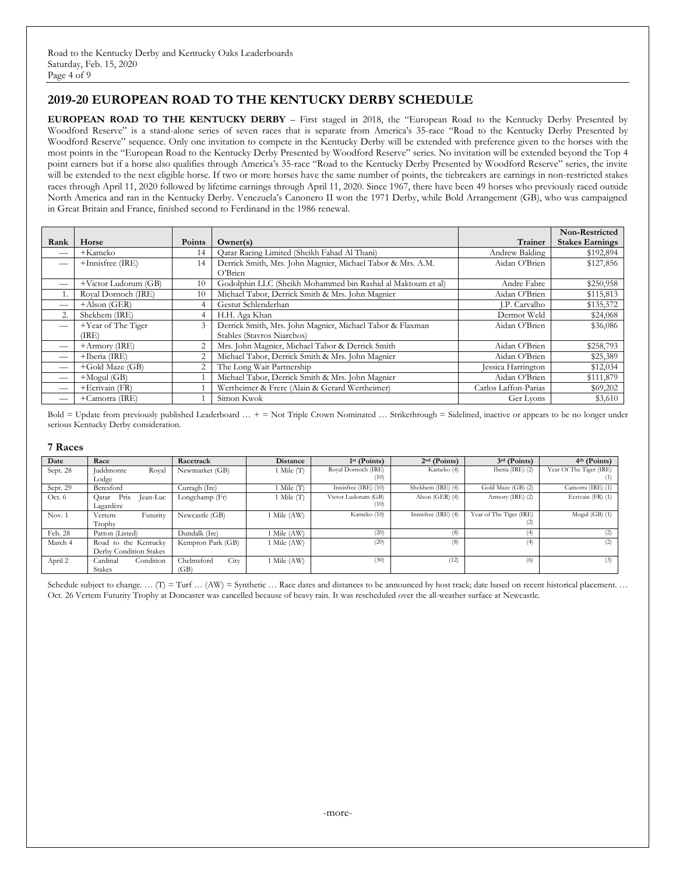## **2019-20 EUROPEAN ROAD TO THE KENTUCKY DERBY SCHEDULE**

**EUROPEAN ROAD TO THE KENTUCKY DERBY** – First staged in 2018, the "European Road to the Kentucky Derby Presented by Woodford Reserve" is a stand-alone series of seven races that is separate from America's 35-race "Road to the Kentucky Derby Presented by Woodford Reserve" sequence. Only one invitation to compete in the Kentucky Derby will be extended with preference given to the horses with the most points in the "European Road to the Kentucky Derby Presented by Woodford Reserve" series. No invitation will be extended beyond the Top 4 point earners but if a horse also qualifies through America's 35-race "Road to the Kentucky Derby Presented by Woodford Reserve" series, the invite will be extended to the next eligible horse. If two or more horses have the same number of points, the tiebreakers are earnings in non-restricted stakes races through April 11, 2020 followed by lifetime earnings through April 11, 2020. Since 1967, there have been 49 horses who previously raced outside North America and ran in the Kentucky Derby. Venezuela's Canonero II won the 1971 Derby, while Bold Arrangement (GB), who was campaigned in Great Britain and France, finished second to Ferdinand in the 1986 renewal.

|      |                      |                |                                                             |                      | Non-Restricted         |
|------|----------------------|----------------|-------------------------------------------------------------|----------------------|------------------------|
| Rank | Horse                | Points         | Owner(s)                                                    | Trainer              | <b>Stakes Earnings</b> |
|      | +Kameko              | 14             | Qatar Racing Limited (Sheikh Fahad Al Thani)                | Andrew Balding       | \$192,894              |
|      | +Innisfree (IRE)     | 14             | Derrick Smith, Mrs. John Magnier, Michael Tabor & Mrs. A.M. | Aidan O'Brien        | \$127,856              |
|      |                      |                | $O3$ Rrien                                                  |                      |                        |
| –    | +Victor Ludorum (GB) | 10             | Godolphin LLC (Sheikh Mohammed bin Rashid al Maktoum et al) | Andre Fabre          | \$250,958              |
|      | Royal Dornoch (IRE)  | 10             | Michael Tabor, Derrick Smith & Mrs. John Magnier            | Aidan O'Brien        | \$115,813              |
| –    | $+A$ lson (GER)      |                | Gestut Schlenderhan                                         | J.P. Carvalho        | \$135,572              |
|      | Shekhem (IRE)        |                | H.H. Aga Khan                                               | Dermot Weld          | \$24,068               |
| —    | +Year of The Tiger   | 3              | Derrick Smith, Mrs. John Magnier, Michael Tabor & Flaxman   | Aidan O'Brien        | \$36,086               |
|      | (IRE)                |                | Stables (Stavros Niarchos)                                  |                      |                        |
| _    | $+$ Armory (IRE)     | 2              | Mrs. John Magnier, Michael Tabor & Derrick Smith            | Aidan O'Brien        | \$258,793              |
|      | +Iberia (IRE)        | $\overline{c}$ | Michael Tabor, Derrick Smith & Mrs. John Magnier            | Aidan O'Brien        | \$25,389               |
| –    | +Gold Maze (GB)      | $\overline{c}$ | The Long Wait Partnership                                   | Jessica Harrington   | \$12,034               |
|      | $+Mogul$ (GB)        |                | Michael Tabor, Derrick Smith & Mrs. John Magnier            | Aidan O'Brien        | \$111,879              |
| _    | +Ecrivain (FR)       |                | Wertheimer & Frere (Alain & Gerard Wertheimer)              | Carlos Laffon-Parias | \$69,202               |
|      | +Camorra (IRE)       |                | Simon Kwok                                                  | Ger Lyons            | \$3,610                |

Bold = Update from previously published Leaderboard … + = Not Triple Crown Nominated … Strikethrough = Sidelined, inactive or appears to be no longer under serious Kentucky Derby consideration.

#### **7 Races**

| Date     | Race                      | Racetrack          | <b>Distance</b>           | $1st$ (Points)       | $2nd$ (Points)      | $3rd$ (Points)          | 4th (Points)            |
|----------|---------------------------|--------------------|---------------------------|----------------------|---------------------|-------------------------|-------------------------|
| Sept. 28 | Juddmonte<br>Royal        | Newmarket (GB)     | 1 Mile $(T)$              | Royal Dornoch (IRE)  | Kameko (4)          | Iberia (IRE) (2)        | Year Of The Tiger (IRE) |
|          | Lodge                     |                    |                           | (10)                 |                     |                         | $^{(1)}$                |
| Sept. 29 | Beresford                 | Curragh (Ire)      | 1 Mile (T                 | Innisfree (IRE) (10) | Shekhem (IRE) (4)   | Gold Maze (GB) (2)      | Camorra (IRE) (1)       |
| Oct. 6   | Prix<br>Jean-Luc<br>Oatar | Longchamp (Fr)     | $\blacksquare$ Mile $(T)$ | Victor Ludorum (GB)  | Alson $(GER)$ (4)   | Armory (IRE) (2)        | Ecrivain (FR) (1)       |
|          | Lagardère                 |                    |                           | (10)                 |                     |                         |                         |
| Nov. $1$ | Futurity<br>Vertem        | Newcastle (GB)     | Mile (AW)                 | Kameko (10)          | Innisfree (IRE) (4) | Year of The Tiger (IRE) | Mogul $(GB)$ $(1)$      |
|          | Trophy                    |                    |                           |                      |                     | (2)                     |                         |
| Feb. 28  | Patton (Listed)           | Dundalk (Ire)      | Mile (AW)                 | (20)                 | (8)                 | (4)                     | $\left( 2\right)$       |
| March 4  | Road to the Kentucky      | Kempton Park (GB)  | 1 Mile (AW)               | (20)                 | (8)                 | (4)                     | (2)                     |
|          | Derby Condition Stakes    |                    |                           |                      |                     |                         |                         |
| April 2  | Condition<br>Cardinal     | City<br>Chelmsford | 1 Mile (AW)               | (30)                 | (12)                | (6)                     | (3)                     |
|          | <b>Stakes</b>             | (GB)               |                           |                      |                     |                         |                         |

Schedule subject to change. …  $(T) = Turf$  … (AW) = Synthetic … Race dates and distances to be announced by host track; date based on recent historical placement. … Oct. 26 Vertem Futurity Trophy at Doncaster was cancelled because of heavy rain. It was rescheduled over the all-weather surface at Newcastle.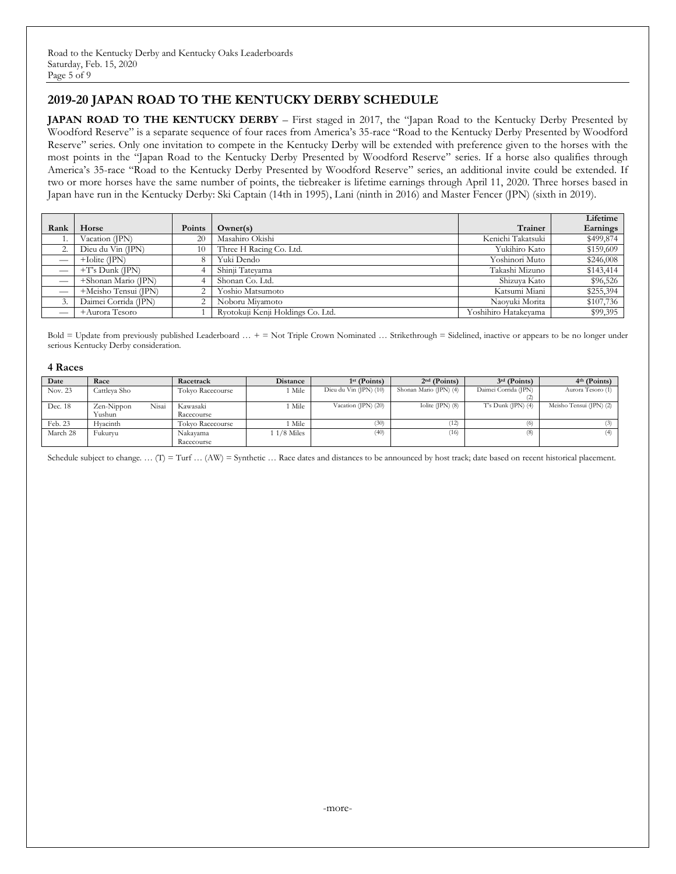## **2019-20 JAPAN ROAD TO THE KENTUCKY DERBY SCHEDULE**

**JAPAN ROAD TO THE KENTUCKY DERBY** – First staged in 2017, the "Japan Road to the Kentucky Derby Presented by Woodford Reserve" is a separate sequence of four races from America's 35-race "Road to the Kentucky Derby Presented by Woodford Reserve" series. Only one invitation to compete in the Kentucky Derby will be extended with preference given to the horses with the most points in the "Japan Road to the Kentucky Derby Presented by Woodford Reserve" series. If a horse also qualifies through America's 35-race "Road to the Kentucky Derby Presented by Woodford Reserve" series, an additional invite could be extended. If two or more horses have the same number of points, the tiebreaker is lifetime earnings through April 11, 2020. Three horses based in Japan have run in the Kentucky Derby: Ski Captain (14th in 1995), Lani (ninth in 2016) and Master Fencer (JPN) (sixth in 2019).

|                               |                      |               |                                   |                      | Lifetime  |
|-------------------------------|----------------------|---------------|-----------------------------------|----------------------|-----------|
| Rank                          | Horse                | <b>Points</b> | Owner(s)                          | <b>Trainer</b>       | Earnings  |
| 1.                            | Vacation (IPN)       | 20            | Masahiro Okishi                   | Kenichi Takatsuki    | \$499,874 |
| z.                            | Dieu du Vin (JPN)    | 10            | Three H Racing Co. Ltd.           | Yukihiro Kato        | \$159,609 |
|                               | $+$ Iolite (IPN)     |               | Yuki Dendo                        | Yoshinori Muto       | \$246,008 |
| $\overline{\phantom{m}}$      | $+T$ 's Dunk (JPN)   |               | Shinji Tatevama                   | Takashi Mizuno       | \$143,414 |
| $\overbrace{\phantom{12332}}$ | +Shonan Mario (JPN)  |               | Shonan Co. Ltd.                   | Shizuva Kato         | \$96,526  |
|                               | +Meisho Tensui (JPN) |               | Yoshio Matsumoto                  | Katsumi Miani        | \$255,394 |
|                               | Daimei Corrida (JPN) |               | Noboru Mivamoto                   | Naovuki Morita       | \$107,736 |
| _                             | +Aurora Tesoro       |               | Rvotokuji Kenji Holdings Co. Ltd. | Yoshihiro Hatakevama | \$99,395  |

Bold = Update from previously published Leaderboard … + = Not Triple Crown Nominated … Strikethrough = Sidelined, inactive or appears to be no longer under serious Kentucky Derby consideration.

#### **4 Races**

| Date     | Race                | Racetrack        | <b>Distance</b> | $1st$ (Points)         | $2nd$ (Points)         | $3rd$ (Points)          | $4th$ (Points)          |
|----------|---------------------|------------------|-----------------|------------------------|------------------------|-------------------------|-------------------------|
| Nov. 23  | Cattleva Sho        | Tokyo Racecourse | Mile            | Dieu du Vin (JPN) (10) | Shonan Mario (JPN) (4) | Daimei Corrida (JPN)    | Aurora Tesoro (1)       |
|          |                     |                  |                 |                        |                        |                         |                         |
| Dec. 18  | Nisai<br>Zen-Nippon | Kawasaki         | Mile            | Vacation (JPN) $(20)$  | Iolite (JPN) $(8)$     | $T$ 's Dunk (JPN) $(4)$ | Meisho Tensui (JPN) (2) |
|          | Yushun              | Racecourse       |                 |                        |                        |                         |                         |
| Feb. 23  | Hvacinth            | Tokyo Racecourse | Mile            | (30)                   | (12)                   | (6)                     |                         |
| March 28 | Fukurvu             | Nakayama         | $1/8$ Miles     | (40)                   | (16)                   | (8)                     |                         |
|          |                     | Racecourse       |                 |                        |                        |                         |                         |

Schedule subject to change. ...  $(T) = Turf \dots (AW) = Synthetic \dots$  Race dates and distances to be announced by host track; date based on recent historical placement.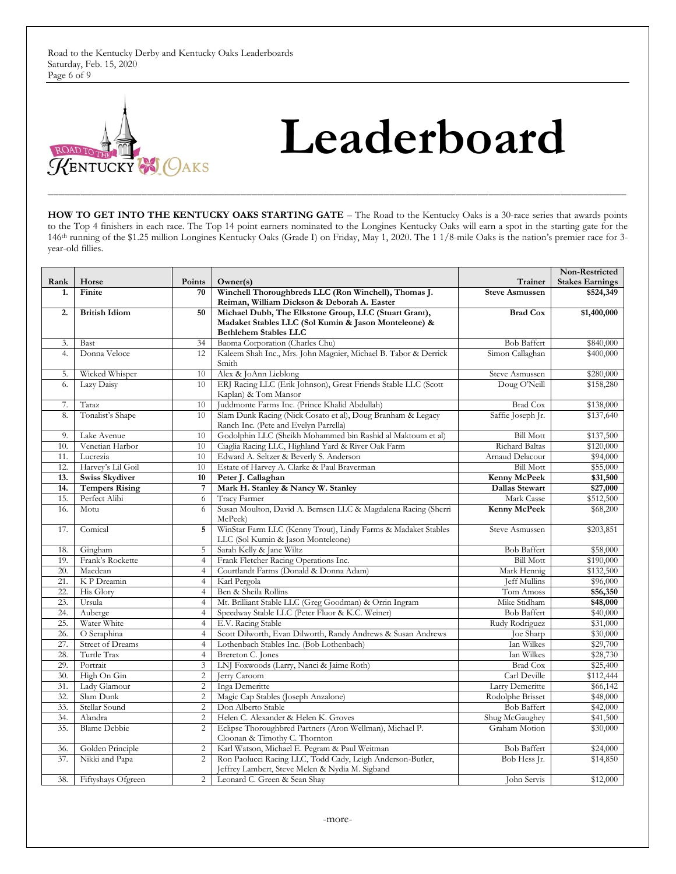Road to the Kentucky Derby and Kentucky Oaks Leaderboards Saturday, Feb. 15, 2020 Page 6 of 9



# **Leaderboard**

HOW TO GET INTO THE KENTUCKY OAKS STARTING GATE – The Road to the Kentucky Oaks is a 30-race series that awards points to the Top 4 finishers in each race. The Top 14 point earners nominated to the Longines Kentucky Oaks will earn a spot in the starting gate for the 146th running of the \$1.25 million Longines Kentucky Oaks (Grade I) on Friday, May 1, 2020. The 1 1/8-mile Oaks is the nation's premier race for 3 year-old fillies.

**\_\_\_\_\_\_\_\_\_\_\_\_\_\_\_\_\_\_\_\_\_\_\_\_\_\_\_\_\_\_\_\_\_\_\_\_\_\_\_\_\_\_\_\_\_\_\_\_\_\_\_\_\_\_\_\_\_\_\_\_\_\_\_\_\_\_\_\_\_\_\_\_\_\_\_\_\_\_\_\_\_\_\_\_\_\_\_\_\_\_\_\_\_\_\_\_\_\_\_\_\_\_\_\_\_**

|      |                         |                         | Non-Restricted                                                                                                                                |                                      |                        |
|------|-------------------------|-------------------------|-----------------------------------------------------------------------------------------------------------------------------------------------|--------------------------------------|------------------------|
| Rank | Horse                   | Points                  | Owner(s)                                                                                                                                      | Trainer                              | <b>Stakes Earnings</b> |
| 1.   | Finite                  | 70                      | Winchell Thoroughbreds LLC (Ron Winchell), Thomas J.<br>Reiman, William Dickson & Deborah A. Easter                                           | <b>Steve Asmussen</b>                | \$524,349              |
| 2.   | <b>British Idiom</b>    | 50                      | Michael Dubb, The Elkstone Group, LLC (Stuart Grant),<br>Madaket Stables LLC (Sol Kumin & Jason Monteleone) &<br><b>Bethlehem Stables LLC</b> | <b>Brad Cox</b>                      | \$1,400,000            |
| 3.   | <b>Bast</b>             | 34                      | Baoma Corporation (Charles Chu)                                                                                                               | <b>Bob Baffert</b>                   | \$840,000              |
| 4.   | Donna Veloce            | 12                      | Kaleem Shah Inc., Mrs. John Magnier, Michael B. Tabor & Derrick<br>Smith                                                                      | Simon Callaghan                      | \$400,000              |
| 5.   | Wicked Whisper          | 10                      | Alex & JoAnn Lieblong                                                                                                                         | Steve Asmussen                       | \$280,000              |
| 6.   | Lazy Daisy              | 10                      | ERJ Racing LLC (Erik Johnson), Great Friends Stable LLC (Scott<br>Kaplan) & Tom Mansor                                                        | Doug O'Neill                         | \$158,280              |
| 7.   | Taraz                   | 10                      | Juddmonte Farms Inc. (Prince Khalid Abdullah)                                                                                                 | <b>Brad Cox</b>                      | \$138,000              |
| 8.   | Tonalist's Shape        | 10                      | Slam Dunk Racing (Nick Cosato et al), Doug Branham & Legacy<br>Ranch Inc. (Pete and Evelyn Parrella)                                          | Saffie Joseph Jr.                    | \$137,640              |
| 9.   | Lake Avenue             | 10                      | Godolphin LLC (Sheikh Mohammed bin Rashid al Maktoum et al)                                                                                   | <b>Bill Mott</b>                     | \$137,500              |
| 10.  | Venetian Harbor         | 10                      | Ciaglia Racing LLC, Highland Yard & River Oak Farm                                                                                            | Richard Baltas                       | \$120,000              |
| 11.  | Lucrezia                | 10                      | Edward A. Seltzer & Beverly S. Anderson                                                                                                       | Arnaud Delacour                      | \$94,000               |
| 12.  | Harvey's Lil Goil       | 10                      | Estate of Harvey A. Clarke & Paul Braverman                                                                                                   | <b>Bill Mott</b>                     | \$55,000               |
| 13.  | <b>Swiss Skydiver</b>   | 10                      | Peter J. Callaghan                                                                                                                            | Kenny McPeek                         | \$31,500               |
| 14.  | <b>Tempers Rising</b>   | $\overline{7}$          | Mark H. Stanley & Nancy W. Stanley                                                                                                            | Dallas Stewart                       | \$27,000               |
| 15.  | Perfect Alibi           | 6                       | Tracy Farmer                                                                                                                                  | Mark Casse                           | \$512,500              |
| 16.  | Motu                    | 6                       | Susan Moulton, David A. Bernsen LLC & Magdalena Racing (Sherri<br><b>Kenny McPeek</b><br>McPeek)                                              |                                      | \$68,200               |
| 17.  | Comical                 | 5                       | WinStar Farm LLC (Kenny Trout), Lindy Farms & Madaket Stables<br>Steve Asmussen<br>LLC (Sol Kumin & Jason Monteleone)                         |                                      | \$203,851              |
| 18.  | Gingham                 | 5                       | Sarah Kelly & Jane Wiltz                                                                                                                      | <b>Bob Baffert</b>                   | \$58,000               |
| 19.  | Frank's Rockette        | $\overline{4}$          | Frank Fletcher Racing Operations Inc.                                                                                                         | <b>Bill Mott</b>                     | \$190,000              |
| 20.  | Maedean                 | $\overline{4}$          | Courtlandt Farms (Donald & Donna Adam)                                                                                                        | Mark Hennig                          | \$132,500              |
| 21.  | K P Dreamin             | $\overline{4}$          | Karl Pergola                                                                                                                                  | <b>Jeff Mullins</b>                  | \$96,000               |
| 22.  | His Glory               | $\overline{4}$          | Ben & Sheila Rollins                                                                                                                          | Tom Amoss                            | \$56,350               |
| 23.  | Ursula                  | $\overline{4}$          | Mt. Brilliant Stable LLC (Greg Goodman) & Orrin Ingram                                                                                        | Mike Stidham                         | \$48,000               |
| 24.  | Auberge                 | $\overline{4}$          | Speedway Stable LLC (Peter Fluor & K.C. Weiner)                                                                                               | <b>Bob Baffert</b>                   | \$40,000               |
| 25.  | Water White             | $\overline{4}$          | E.V. Racing Stable                                                                                                                            | Rudy Rodriguez                       | \$31,000               |
| 26.  | O Seraphina             | $\overline{4}$          | Scott Dilworth, Evan Dilworth, Randy Andrews & Susan Andrews                                                                                  | <b>Joe Sharp</b>                     | \$30,000               |
| 27.  | <b>Street of Dreams</b> | $\overline{4}$          | Lothenbach Stables Inc. (Bob Lothenbach)                                                                                                      | Ian Wilkes                           | \$29,700               |
| 28.  | Turtle Trax             | $\overline{4}$          | Brereton C. Jones                                                                                                                             | Ian Wilkes                           | \$28,730               |
| 29.  | Portrait                | $\overline{3}$          | LNJ Foxwoods (Larry, Nanci & Jaime Roth)                                                                                                      | <b>Brad Cox</b>                      | \$25,400               |
| 30.  | High On Gin             | $\overline{2}$          | Jerry Caroom                                                                                                                                  | Carl Deville                         | \$112,444              |
| 31.  | Lady Glamour            | $\overline{2}$          | Inga Demeritte                                                                                                                                | Larry Demeritte                      | \$66,142               |
| 32.  | Slam Dunk               | $\overline{c}$          | Magic Cap Stables (Joseph Anzalone)                                                                                                           | Rodolphe Brisset                     | \$48,000               |
| 33.  | Stellar Sound           | $\overline{c}$          | Don Alberto Stable                                                                                                                            | <b>Bob Baffert</b><br>Shug McGaughey | \$42,000               |
| 34.  | Alandra                 | $\mathbf{2}$            | Helen C. Alexander & Helen K. Groves                                                                                                          |                                      | \$41,500               |
| 35.  | <b>Blame Debbie</b>     | $\overline{c}$          | Eclipse Thoroughbred Partners (Aron Wellman), Michael P.<br>Cloonan & Timothy C. Thornton                                                     | Graham Motion                        | \$30,000               |
| 36.  | Golden Principle        | $\overline{\mathbf{c}}$ | Karl Watson, Michael E. Pegram & Paul Weitman                                                                                                 | <b>Bob Baffert</b>                   | \$24,000               |
| 37.  | Nikki and Papa          | 2                       | Ron Paolucci Racing LLC, Todd Cady, Leigh Anderson-Butler,<br>Jeffrey Lambert, Steve Melen & Nydia M. Sigband                                 | Bob Hess Ir.                         | \$14,850               |
| 38.  | Fiftyshays Ofgreen      | $\overline{2}$          | Leonard C. Green & Sean Shav                                                                                                                  | John Servis                          | \$12,000               |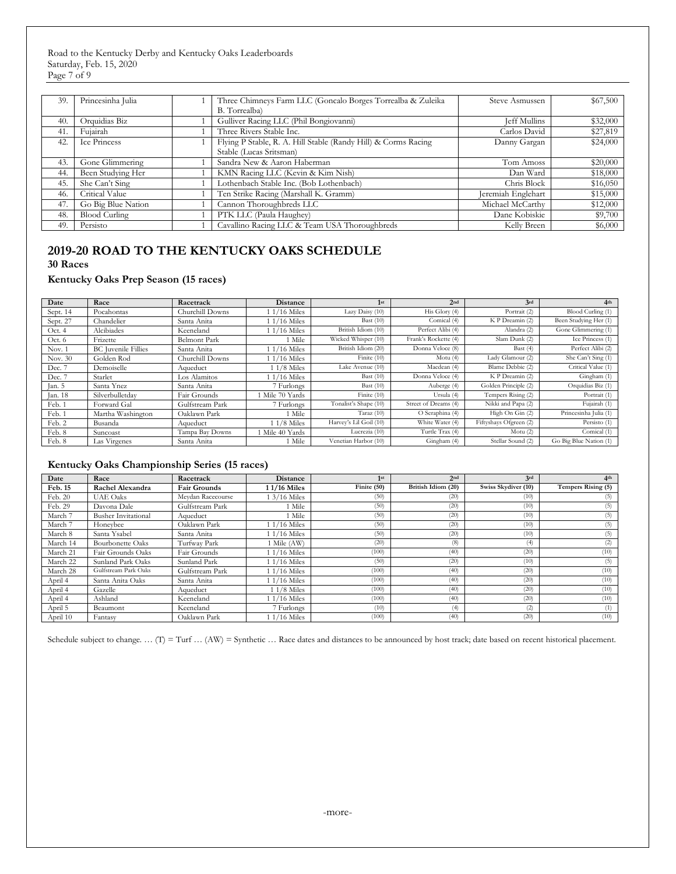Road to the Kentucky Derby and Kentucky Oaks Leaderboards Saturday, Feb. 15, 2020 Page 7 of 9

| 39. | Princesinha Julia    | Three Chimneys Farm LLC (Goncalo Borges Torrealba & Zuleika<br>B. Torrealba) | Steve Asmussen      | \$67,500 |
|-----|----------------------|------------------------------------------------------------------------------|---------------------|----------|
| 40. | Orquidias Biz        | Gulliver Racing LLC (Phil Bongiovanni)                                       | <b>Jeff Mullins</b> | \$32,000 |
| 41. | Fujairah             | Three Rivers Stable Inc.                                                     | Carlos David        | \$27,819 |
| 42. | Ice Princess         | Flying P Stable, R. A. Hill Stable (Randy Hill) & Corms Racing               | Danny Gargan        | \$24,000 |
|     |                      | Stable (Lucas Sritsman)                                                      |                     |          |
| 43. | Gone Glimmering      | Sandra New & Aaron Haberman                                                  | Tom Amoss           | \$20,000 |
| 44. | Been Studying Her    | KMN Racing LLC (Kevin & Kim Nish)                                            | Dan Ward            | \$18,000 |
| 45. | She Can't Sing       | Lothenbach Stable Inc. (Bob Lothenbach)                                      | Chris Block         | \$16,050 |
| 46. | Critical Value       | Ten Strike Racing (Marshall K. Gramm)                                        | Jeremiah Englehart  | \$15,000 |
| 47. | Go Big Blue Nation   | Cannon Thoroughbreds LLC                                                     | Michael McCarthy    | \$12,000 |
| 48. | <b>Blood Curling</b> | PTK LLC (Paula Haughey)                                                      | Dane Kobiskie       | \$9,700  |
| 49. | Persisto             | Cavallino Racing LLC & Team USA Thoroughbreds                                | Kelly Breen         | \$6,000  |

## **2019-20 ROAD TO THE KENTUCKY OAKS SCHEDULE**

**30 Races**

### **Kentucky Oaks Prep Season (15 races)**

| Date     | Race                       | Racetrack           | <b>Distance</b> | 1st                    | 2nd                  | 3rd                    | 4 <sup>th</sup>        |
|----------|----------------------------|---------------------|-----------------|------------------------|----------------------|------------------------|------------------------|
| Sept. 14 | Pocahontas                 | Churchill Downs     | 1 1/16 Miles    | Lazy Daisy (10)        | His $Glory(4)$       | Portrait (2)           | Blood Curling (1)      |
| Sept. 27 | Chandelier                 | Santa Anita         | $1/16$ Miles    | Bast $(10)$            | Comical (4)          | K P Dreamin (2)        | Been Studying Her (1)  |
| Oct. 4   | Alcibiades                 | Keeneland           | 1/16 Miles      | British Idiom (10)     | Perfect Alibi (4)    | Alandra (2)            | Gone Glimmering (1)    |
| Oct. 6   | Frizette                   | <b>Belmont Park</b> | 1 Mile          | Wicked Whisper (10)    | Frank's Rockette (4) | Slam Dunk (2)          | Ice Princess (1)       |
| Nov. 1   | <b>BC</b> Juvenile Fillies | Santa Anita         | $1/16$ Miles    | British Idiom (20)     | Donna Veloce (8)     | Bast (4)               | Perfect Alibi (2)      |
| Nov. 30  | Golden Rod                 | Churchill Downs     | $1/16$ Miles    | Finite (10)            | Motu $(4)$           | Lady Glamour (2)       | She Can't Sing (1)     |
| Dec. 7   | Demoiselle                 | Aqueduct            | $11/8$ Miles    | Lake Avenue (10)       | Maedean (4)          | Blame Debbie (2)       | Critical Value (1)     |
| Dec. 7   | Starlet                    | Los Alamitos        | $1/16$ Miles    | Bast $(10)$            | Donna Veloce (4)     | K P Dreamin (2)        | Gingham (1)            |
| Jan. 5   | Santa Ynez                 | Santa Anita         | 7 Furlongs      | Bast $(10)$            | Auberge (4)          | Golden Principle (2)   | Orquidias Biz (1)      |
| Jan. 18  | Silverbulletday            | Fair Grounds        | Mile 70 Yards   | Finite $(10)$          | Ursula (4)           | Tempers Rising (2)     | Portrait (1)           |
| Feb. 1   | Forward Gal                | Gulfstream Park     | 7 Furlongs      | Tonalist's Shape (10)  | Street of Dreams (4) | Nikki and Papa (2)     | Fujairah (1)           |
| Feb. 1   | Martha Washington          | Oaklawn Park        | 1 Mile          | Taraz $(10)$           | O Seraphina (4)      | High On Gin (2)        | Princesinha Julia (1)  |
| Feb. 2   | Busanda                    | Aqueduct            | $11/8$ Miles    | Harvey's Lil Goil (10) | White Water (4)      | Fiftyshays Ofgreen (2) | Persisto (1)           |
| Feb. 8   | Suncoast                   | Tampa Bay Downs     | Mile 40 Yards   | Lucrezia (10)          | Turtle Trax (4)      | Motu $(2)$             | Comical (1)            |
| Feb. 8   | Las Virgenes               | Santa Anita         | Mile            | Venetian Harbor (10)   | Gingham (4)          | Stellar Sound (2)      | Go Big Blue Nation (1) |

#### **Kentucky Oaks Championship Series (15 races)**

| Date     | Race                       | Racetrack           | <b>Distance</b>    | 1 <sup>st</sup> | 2 <sub>nd</sub>    | 3rd                 | 4 <sup>th</sup>    |
|----------|----------------------------|---------------------|--------------------|-----------------|--------------------|---------------------|--------------------|
| Feb. 15  | Rachel Alexandra           | <b>Fair Grounds</b> | <b>11/16 Miles</b> | Finite $(50)$   | British Idiom (20) | Swiss Skydiver (10) | Tempers Rising (5) |
| Feb. 20  | <b>UAE</b> Oaks            | Mevdan Racecourse   | 1 3/16 Miles       | (50)            | (20)               | (10)                | (5)                |
| Feb. 29  | Davona Dale                | Gulfstream Park     | Mile               | (50)            | (20)               | (10)                | (5)                |
| March 7  | <b>Busher Invitational</b> | Aqueduct            | Mile               | (50)            | (20)               | (10)                | (5)                |
| March 7  | Honeybee                   | Oaklawn Park        | $1/16$ Miles       | (50)            | (20)               | (10)                | (5)                |
| March 8  | Santa Ysabel               | Santa Anita         | $1/16$ Miles       | (50)            | (20)               | (10)                | (5)                |
| March 14 | <b>Bourbonette Oaks</b>    | Turfway Park        | 1 Mile (AW)        | (20)            | (8)                | (4)                 | (2)                |
| March 21 | Fair Grounds Oaks          | Fair Grounds        | 1/16 Miles         | (100)           | (40)               | (20)                | (10)               |
| March 22 | Sunland Park Oaks          | Sunland Park        | 1/16 Miles         | (50)            | (20)               | (10)                | (5)                |
| March 28 | Gulfstream Park Oaks       | Gulfstream Park     | 1 1/16 Miles       | (100)           | (40)               | (20)                | (10)               |
| April 4  | Santa Anita Oaks           | Santa Anita         | $1/16$ Miles       | (100)           | (40)               | (20)                | (10)               |
| April 4  | Gazelle                    | Aqueduct            | 1 1/8 Miles        | (100)           | (40)               | (20)                | (10)               |
| April 4  | Ashland                    | Keeneland           | $1/16$ Miles       | (100)           | (40)               | (20)                | (10)               |
| April 5  | Beaumont                   | Keeneland           | 7 Furlongs         | (10)            | (4)                | (2)                 | (1)                |
| April 10 | Fantasy                    | Oaklawn Park        | $1/16$ Miles       | (100)           | (40)               | (20)                | (10)               |

Schedule subject to change. ... (I) = Turf ... (AW) = Synthetic ... Race dates and distances to be announced by host track; date based on recent historical placement.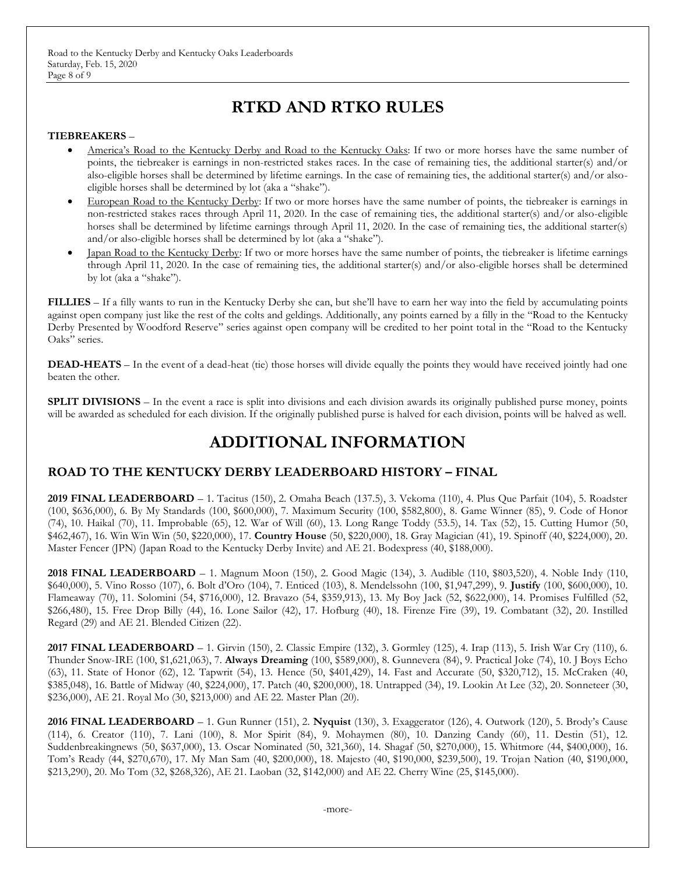Road to the Kentucky Derby and Kentucky Oaks Leaderboards Saturday, Feb. 15, 2020 Page 8 of 9

## **RTKD AND RTKO RULES**

#### **TIEBREAKERS** –

- America's Road to the Kentucky Derby and Road to the Kentucky Oaks: If two or more horses have the same number of points, the tiebreaker is earnings in non-restricted stakes races. In the case of remaining ties, the additional starter(s) and/or also-eligible horses shall be determined by lifetime earnings. In the case of remaining ties, the additional starter(s) and/or alsoeligible horses shall be determined by lot (aka a "shake").
- European Road to the Kentucky Derby: If two or more horses have the same number of points, the tiebreaker is earnings in non-restricted stakes races through April 11, 2020. In the case of remaining ties, the additional starter(s) and/or also-eligible horses shall be determined by lifetime earnings through April 11, 2020. In the case of remaining ties, the additional starter(s) and/or also-eligible horses shall be determined by lot (aka a "shake").
- Japan Road to the Kentucky Derby: If two or more horses have the same number of points, the tiebreaker is lifetime earnings through April 11, 2020. In the case of remaining ties, the additional starter(s) and/or also-eligible horses shall be determined by lot (aka a "shake").

**FILLIES** – If a filly wants to run in the Kentucky Derby she can, but she'll have to earn her way into the field by accumulating points against open company just like the rest of the colts and geldings. Additionally, any points earned by a filly in the "Road to the Kentucky Derby Presented by Woodford Reserve" series against open company will be credited to her point total in the "Road to the Kentucky Oaks" series.

**DEAD-HEATS** – In the event of a dead-heat (tie) those horses will divide equally the points they would have received jointly had one beaten the other.

**SPLIT DIVISIONS** – In the event a race is split into divisions and each division awards its originally published purse money, points will be awarded as scheduled for each division. If the originally published purse is halved for each division, points will be halved as well.

## **ADDITIONAL INFORMATION**

### **ROAD TO THE KENTUCKY DERBY LEADERBOARD HISTORY – FINAL**

**2019 FINAL LEADERBOARD** – 1. Tacitus (150), 2. Omaha Beach (137.5), 3. Vekoma (110), 4. Plus Que Parfait (104), 5. Roadster (100, \$636,000), 6. By My Standards (100, \$600,000), 7. Maximum Security (100, \$582,800), 8. Game Winner (85), 9. Code of Honor (74), 10. Haikal (70), 11. Improbable (65), 12. War of Will (60), 13. Long Range Toddy (53.5), 14. Tax (52), 15. Cutting Humor (50, \$462,467), 16. Win Win Win (50, \$220,000), 17. **Country House** (50, \$220,000), 18. Gray Magician (41), 19. Spinoff (40, \$224,000), 20. Master Fencer (JPN) (Japan Road to the Kentucky Derby Invite) and AE 21. Bodexpress (40, \$188,000).

**2018 FINAL LEADERBOARD** – 1. Magnum Moon (150), 2. Good Magic (134), 3. Audible (110, \$803,520), 4. Noble Indy (110, \$640,000), 5. Vino Rosso (107), 6. Bolt d'Oro (104), 7. Enticed (103), 8. Mendelssohn (100, \$1,947,299), 9. **Justify** (100, \$600,000), 10. Flameaway (70), 11. Solomini (54, \$716,000), 12. Bravazo (54, \$359,913), 13. My Boy Jack (52, \$622,000), 14. Promises Fulfilled (52, \$266,480), 15. Free Drop Billy (44), 16. Lone Sailor (42), 17. Hofburg (40), 18. Firenze Fire (39), 19. Combatant (32), 20. Instilled Regard (29) and AE 21. Blended Citizen (22).

**2017 FINAL LEADERBOARD** – 1. Girvin (150), 2. Classic Empire (132), 3. Gormley (125), 4. Irap (113), 5. Irish War Cry (110), 6. Thunder Snow-IRE (100, \$1,621,063), 7. **Always Dreaming** (100, \$589,000), 8. Gunnevera (84), 9. Practical Joke (74), 10. J Boys Echo (63), 11. State of Honor (62), 12. Tapwrit (54), 13. Hence (50, \$401,429), 14. Fast and Accurate (50, \$320,712), 15. McCraken (40, \$385,048), 16. Battle of Midway (40, \$224,000), 17. Patch (40, \$200,000), 18. Untrapped (34), 19. Lookin At Lee (32), 20. Sonneteer (30, \$236,000), AE 21. Royal Mo (30, \$213,000) and AE 22. Master Plan (20).

**2016 FINAL LEADERBOARD** – 1. Gun Runner (151), 2. **Nyquist** (130), 3. Exaggerator (126), 4. Outwork (120), 5. Brody's Cause (114), 6. Creator (110), 7. Lani (100), 8. Mor Spirit (84), 9. Mohaymen (80), 10. Danzing Candy (60), 11. Destin (51), 12. Suddenbreakingnews (50, \$637,000), 13. Oscar Nominated (50, 321,360), 14. Shagaf (50, \$270,000), 15. Whitmore (44, \$400,000), 16. Tom's Ready (44, \$270,670), 17. My Man Sam (40, \$200,000), 18. Majesto (40, \$190,000, \$239,500), 19. Trojan Nation (40, \$190,000, \$213,290), 20. Mo Tom (32, \$268,326), AE 21. Laoban (32, \$142,000) and AE 22. Cherry Wine (25, \$145,000).